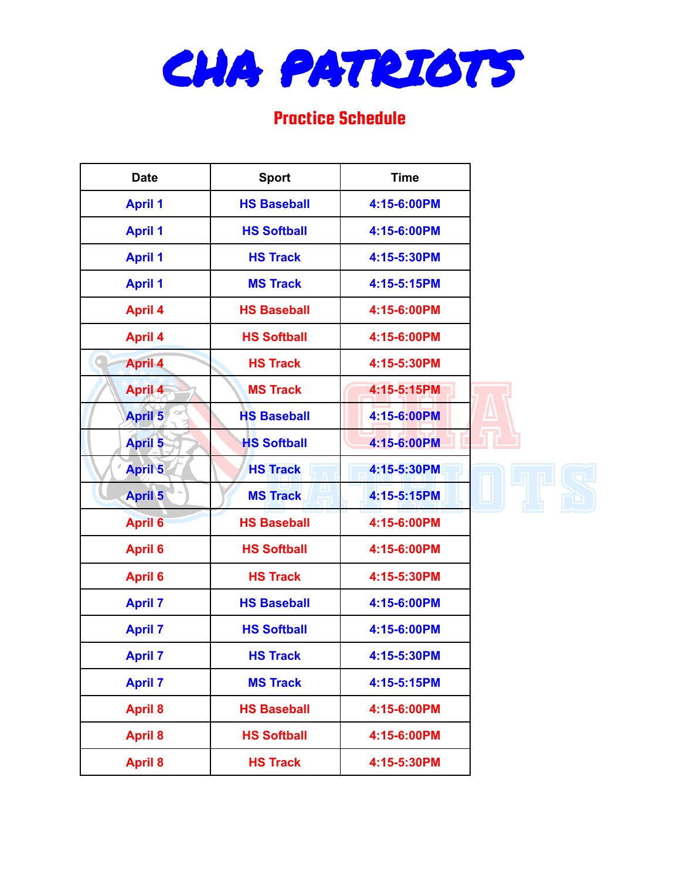

## Practice Schedule

| <b>Date</b>    | <b>Sport</b>       | <b>Time</b> |  |
|----------------|--------------------|-------------|--|
| <b>April 1</b> | <b>HS Baseball</b> | 4:15-6:00PM |  |
| <b>April 1</b> | <b>HS Softball</b> | 4:15-6:00PM |  |
| <b>April 1</b> | <b>HS Track</b>    | 4:15-5:30PM |  |
| <b>April 1</b> | <b>MS Track</b>    | 4:15-5:15PM |  |
| <b>April 4</b> | <b>HS Baseball</b> | 4:15-6:00PM |  |
| <b>April 4</b> | <b>HS Softball</b> | 4:15-6:00PM |  |
| <b>April 4</b> | <b>HS Track</b>    | 4:15-5:30PM |  |
| <b>April 4</b> | <b>MS Track</b>    | 4:15-5:15PM |  |
| <b>April 5</b> | <b>HS Baseball</b> | 4:15-6:00PM |  |
| <b>April 5</b> | <b>HS Softball</b> | 4:15-6:00PM |  |
| <b>April 5</b> | <b>HS Track</b>    | 4:15-5:30PM |  |
| <b>April 5</b> | <b>MS Track</b>    | 4:15-5:15PM |  |
| <b>April 6</b> | <b>HS Baseball</b> | 4:15-6:00PM |  |
| <b>April 6</b> | <b>HS Softball</b> | 4:15-6:00PM |  |
| <b>April 6</b> | <b>HS Track</b>    | 4:15-5:30PM |  |
| <b>April 7</b> | <b>HS Baseball</b> | 4:15-6:00PM |  |
| <b>April 7</b> | <b>HS Softball</b> | 4:15-6:00PM |  |
| <b>April 7</b> | <b>HS Track</b>    | 4:15-5:30PM |  |
| <b>April 7</b> | <b>MS Track</b>    | 4:15-5:15PM |  |
| <b>April 8</b> | <b>HS Baseball</b> | 4:15-6:00PM |  |
| <b>April 8</b> | <b>HS Softball</b> | 4:15-6:00PM |  |
| <b>April 8</b> | <b>HS Track</b>    | 4:15-5:30PM |  |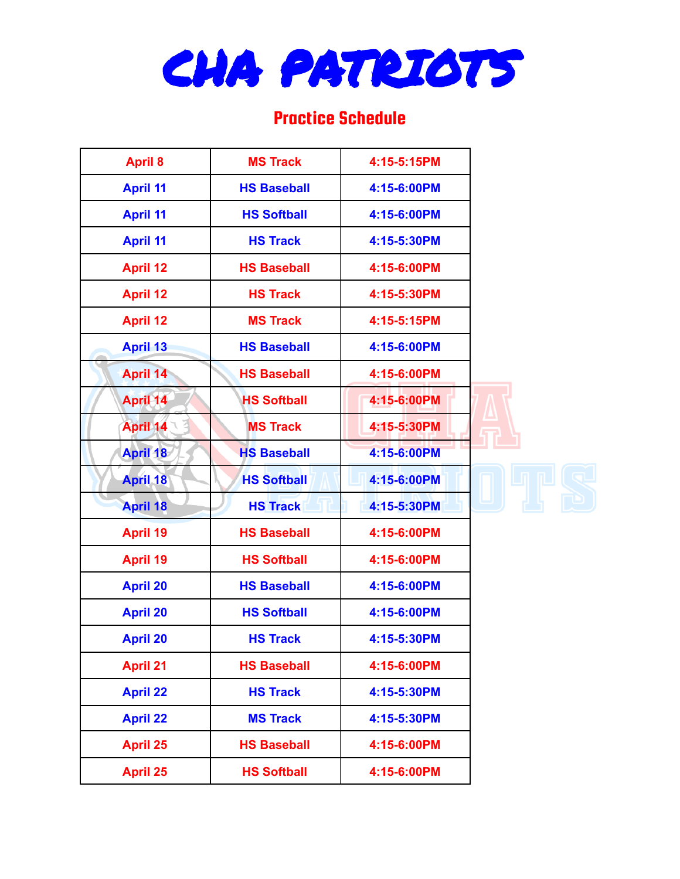

## Practice Schedule

| <b>April 8</b>  | <b>MS Track</b>    | 4:15-5:15PM |  |
|-----------------|--------------------|-------------|--|
| <b>April 11</b> | <b>HS Baseball</b> | 4:15-6:00PM |  |
| <b>April 11</b> | <b>HS Softball</b> | 4:15-6:00PM |  |
| <b>April 11</b> | <b>HS Track</b>    | 4:15-5:30PM |  |
| <b>April 12</b> | <b>HS Baseball</b> | 4:15-6:00PM |  |
| <b>April 12</b> | <b>HS Track</b>    | 4:15-5:30PM |  |
| <b>April 12</b> | <b>MS Track</b>    | 4:15-5:15PM |  |
| <b>April 13</b> | <b>HS Baseball</b> | 4:15-6:00PM |  |
| <b>April 14</b> | <b>HS Baseball</b> | 4:15-6:00PM |  |
| April 14        | <b>HS Softball</b> | 4:15-6:00PM |  |
| <b>April 14</b> | <b>MS Track</b>    | 4:15-5:30PM |  |
| <b>April 18</b> | <b>HS Baseball</b> | 4:15-6:00PM |  |
| <b>April 18</b> | <b>HS Softball</b> | 4:15-6:00PM |  |
| <b>April 18</b> | <b>HS Track</b>    | 4:15-5:30PM |  |
| <b>April 19</b> | <b>HS Baseball</b> | 4:15-6:00PM |  |
| <b>April 19</b> | <b>HS Softball</b> | 4:15-6:00PM |  |
| <b>April 20</b> | <b>HS Baseball</b> | 4:15-6:00PM |  |
| <b>April 20</b> | <b>HS Softball</b> | 4:15-6:00PM |  |
| <b>April 20</b> | <b>HS Track</b>    | 4:15-5:30PM |  |
| <b>April 21</b> | <b>HS Baseball</b> | 4:15-6:00PM |  |
| <b>April 22</b> | <b>HS Track</b>    | 4:15-5:30PM |  |
| <b>April 22</b> | <b>MS Track</b>    | 4:15-5:30PM |  |
| <b>April 25</b> | <b>HS Baseball</b> | 4:15-6:00PM |  |
| <b>April 25</b> | <b>HS Softball</b> | 4:15-6:00PM |  |